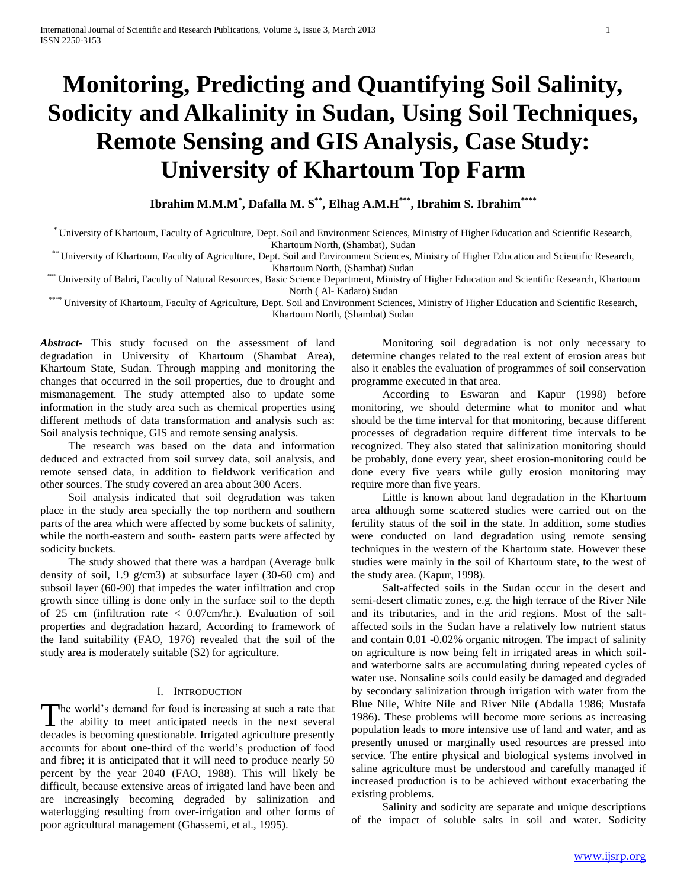# **Monitoring, Predicting and Quantifying Soil Salinity, Sodicity and Alkalinity in Sudan, Using Soil Techniques, Remote Sensing and GIS Analysis, Case Study: University of Khartoum Top Farm**

**Ibrahim M.M.M\* , Dafalla M. S\*\* , Elhag A.M.H\*\*\* , Ibrahim S. Ibrahim\*\*\*\***

\* University of Khartoum, Faculty of Agriculture, Dept. Soil and Environment Sciences, Ministry of Higher Education and Scientific Research, Khartoum North, (Shambat), Sudan

\*\* University of Khartoum, Faculty of Agriculture, Dept. Soil and Environment Sciences, Ministry of Higher Education and Scientific Research, Khartoum North, (Shambat) Sudan

\*\*\* University of Bahri, Faculty of Natural Resources, Basic Science Department, Ministry of Higher Education and Scientific Research, Khartoum North ( Al- Kadaro) Sudan

\*\*\*\* University of Khartoum, Faculty of Agriculture, Dept. Soil and Environment Sciences, Ministry of Higher Education and Scientific Research, Khartoum North, (Shambat) Sudan

*Abstract***-** This study focused on the assessment of land degradation in University of Khartoum (Shambat Area), Khartoum State, Sudan. Through mapping and monitoring the changes that occurred in the soil properties, due to drought and mismanagement. The study attempted also to update some information in the study area such as chemical properties using different methods of data transformation and analysis such as: Soil analysis technique, GIS and remote sensing analysis.

 The research was based on the data and information deduced and extracted from soil survey data, soil analysis, and remote sensed data, in addition to fieldwork verification and other sources. The study covered an area about 300 Acers.

 Soil analysis indicated that soil degradation was taken place in the study area specially the top northern and southern parts of the area which were affected by some buckets of salinity, while the north-eastern and south- eastern parts were affected by sodicity buckets.

 The study showed that there was a hardpan (Average bulk density of soil, 1.9 g/cm3) at subsurface layer (30-60 cm) and subsoil layer (60-90) that impedes the water infiltration and crop growth since tilling is done only in the surface soil to the depth of 25 cm (infiltration rate < 0.07cm/hr.). Evaluation of soil properties and degradation hazard, According to framework of the land suitability (FAO, 1976) revealed that the soil of the study area is moderately suitable (S2) for agriculture.

## I. INTRODUCTION

he world's demand for food is increasing at such a rate that The world's demand for food is increasing at such a rate that<br>the ability to meet anticipated needs in the next several decades is becoming questionable. Irrigated agriculture presently accounts for about one-third of the world's production of food and fibre; it is anticipated that it will need to produce nearly 50 percent by the year 2040 (FAO, 1988). This will likely be difficult, because extensive areas of irrigated land have been and are increasingly becoming degraded by salinization and waterlogging resulting from over-irrigation and other forms of poor agricultural management (Ghassemi, et al., 1995).

 Monitoring soil degradation is not only necessary to determine changes related to the real extent of erosion areas but also it enables the evaluation of programmes of soil conservation programme executed in that area.

 According to Eswaran and Kapur (1998) before monitoring, we should determine what to monitor and what should be the time interval for that monitoring, because different processes of degradation require different time intervals to be recognized. They also stated that salinization monitoring should be probably, done every year, sheet erosion-monitoring could be done every five years while gully erosion monitoring may require more than five years.

 Little is known about land degradation in the Khartoum area although some scattered studies were carried out on the fertility status of the soil in the state. In addition, some studies were conducted on land degradation using remote sensing techniques in the western of the Khartoum state. However these studies were mainly in the soil of Khartoum state, to the west of the study area. (Kapur, 1998).

 Salt-affected soils in the Sudan occur in the desert and semi-desert climatic zones, e.g. the high terrace of the River Nile and its tributaries, and in the arid regions. Most of the saltaffected soils in the Sudan have a relatively low nutrient status and contain 0.01 -0.02% organic nitrogen. The impact of salinity on agriculture is now being felt in irrigated areas in which soiland waterborne salts are accumulating during repeated cycles of water use. Nonsaline soils could easily be damaged and degraded by secondary salinization through irrigation with water from the Blue Nile, White Nile and River Nile (Abdalla 1986; Mustafa 1986). These problems will become more serious as increasing population leads to more intensive use of land and water, and as presently unused or marginally used resources are pressed into service. The entire physical and biological systems involved in saline agriculture must be understood and carefully managed if increased production is to be achieved without exacerbating the existing problems.

 Salinity and sodicity are separate and unique descriptions of the impact of soluble salts in soil and water. Sodicity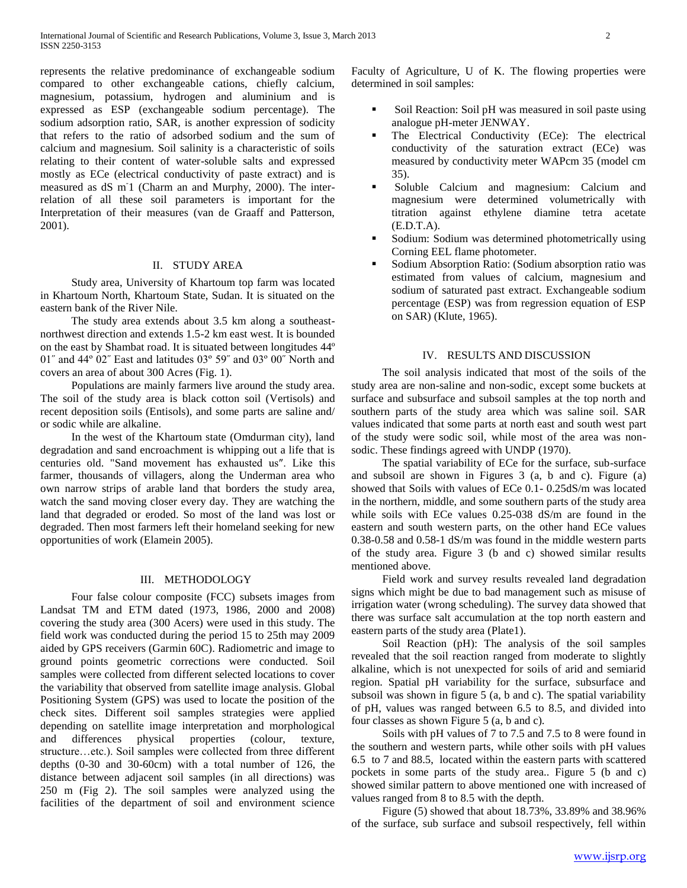represents the relative predominance of exchangeable sodium compared to other exchangeable cations, chiefly calcium, magnesium, potassium, hydrogen and aluminium and is expressed as ESP (exchangeable sodium percentage). The sodium adsorption ratio, SAR, is another expression of sodicity that refers to the ratio of adsorbed sodium and the sum of calcium and magnesium. Soil salinity is a characteristic of soils relating to their content of water-soluble salts and expressed mostly as ECe (electrical conductivity of paste extract) and is measured as dS m-1 (Charm an and Murphy, 2000). The interrelation of all these soil parameters is important for the Interpretation of their measures (van de Graaff and Patterson, 2001).

## II. STUDY AREA

 Study area, University of Khartoum top farm was located in Khartoum North, Khartoum State, Sudan. It is situated on the eastern bank of the River Nile.

 The study area extends about 3.5 km along a southeastnorthwest direction and extends 1.5-2 km east west. It is bounded on the east by Shambat road. It is situated between longitudes 44º 01˝ and 44º 02˝ East and latitudes 03º 59˝ and 03º 00˝ North and covers an area of about 300 Acres (Fig. 1).

 Populations are mainly farmers live around the study area. The soil of the study area is black cotton soil (Vertisols) and recent deposition soils (Entisols), and some parts are saline and/ or sodic while are alkaline.

 In the west of the Khartoum state (Omdurman city), land degradation and sand encroachment is whipping out a life that is centuries old. "Sand movement has exhausted us″. Like this farmer, thousands of villagers, along the Underman area who own narrow strips of arable land that borders the study area, watch the sand moving closer every day. They are watching the land that degraded or eroded. So most of the land was lost or degraded. Then most farmers left their homeland seeking for new opportunities of work (Elamein 2005).

#### III. METHODOLOGY

 Four false colour composite (FCC) subsets images from Landsat TM and ETM dated (1973, 1986, 2000 and 2008) covering the study area (300 Acers) were used in this study. The field work was conducted during the period 15 to 25th may 2009 aided by GPS receivers (Garmin 60C). Radiometric and image to ground points geometric corrections were conducted. Soil samples were collected from different selected locations to cover the variability that observed from satellite image analysis. Global Positioning System (GPS) was used to locate the position of the check sites. Different soil samples strategies were applied depending on satellite image interpretation and morphological and differences physical properties (colour, texture, structure…etc.). Soil samples were collected from three different depths (0-30 and 30-60cm) with a total number of 126, the distance between adjacent soil samples (in all directions) was 250 m (Fig 2). The soil samples were analyzed using the facilities of the department of soil and environment science

Faculty of Agriculture, U of K. The flowing properties were determined in soil samples:

- Soil Reaction: Soil pH was measured in soil paste using analogue pH-meter JENWAY.
- The Electrical Conductivity (ECe): The electrical conductivity of the saturation extract (ECe) was measured by conductivity meter WAPcm 35 (model cm 35).
- Soluble Calcium and magnesium: Calcium and magnesium were determined volumetrically with titration against ethylene diamine tetra acetate (E.D.T.A).
- Sodium: Sodium was determined photometrically using Corning EEL flame photometer.
- Sodium Absorption Ratio: (Sodium absorption ratio was estimated from values of calcium, magnesium and sodium of saturated past extract. Exchangeable sodium percentage (ESP) was from regression equation of ESP on SAR) (Klute, 1965).

### IV. RESULTS AND DISCUSSION

 The soil analysis indicated that most of the soils of the study area are non-saline and non-sodic, except some buckets at surface and subsurface and subsoil samples at the top north and southern parts of the study area which was saline soil. SAR values indicated that some parts at north east and south west part of the study were sodic soil, while most of the area was nonsodic. These findings agreed with UNDP (1970).

 The spatial variability of ECe for the surface, sub-surface and subsoil are shown in Figures 3 (a, b and c). Figure (a) showed that Soils with values of ECe 0.1- 0.25dS/m was located in the northern, middle, and some southern parts of the study area while soils with ECe values 0.25-038 dS/m are found in the eastern and south western parts, on the other hand ECe values 0.38-0.58 and 0.58-1 dS/m was found in the middle western parts of the study area. Figure 3 (b and c) showed similar results mentioned above.

 Field work and survey results revealed land degradation signs which might be due to bad management such as misuse of irrigation water (wrong scheduling). The survey data showed that there was surface salt accumulation at the top north eastern and eastern parts of the study area (Plate1).

 Soil Reaction (pH): The analysis of the soil samples revealed that the soil reaction ranged from moderate to slightly alkaline, which is not unexpected for soils of arid and semiarid region. Spatial pH variability for the surface, subsurface and subsoil was shown in figure 5 (a, b and c). The spatial variability of pH, values was ranged between 6.5 to 8.5, and divided into four classes as shown Figure 5 (a, b and c).

 Soils with pH values of 7 to 7.5 and 7.5 to 8 were found in the southern and western parts, while other soils with pH values 6.5 to 7 and 88.5, located within the eastern parts with scattered pockets in some parts of the study area.. Figure 5 (b and c) showed similar pattern to above mentioned one with increased of values ranged from 8 to 8.5 with the depth.

 Figure (5) showed that about 18.73%, 33.89% and 38.96% of the surface, sub surface and subsoil respectively, fell within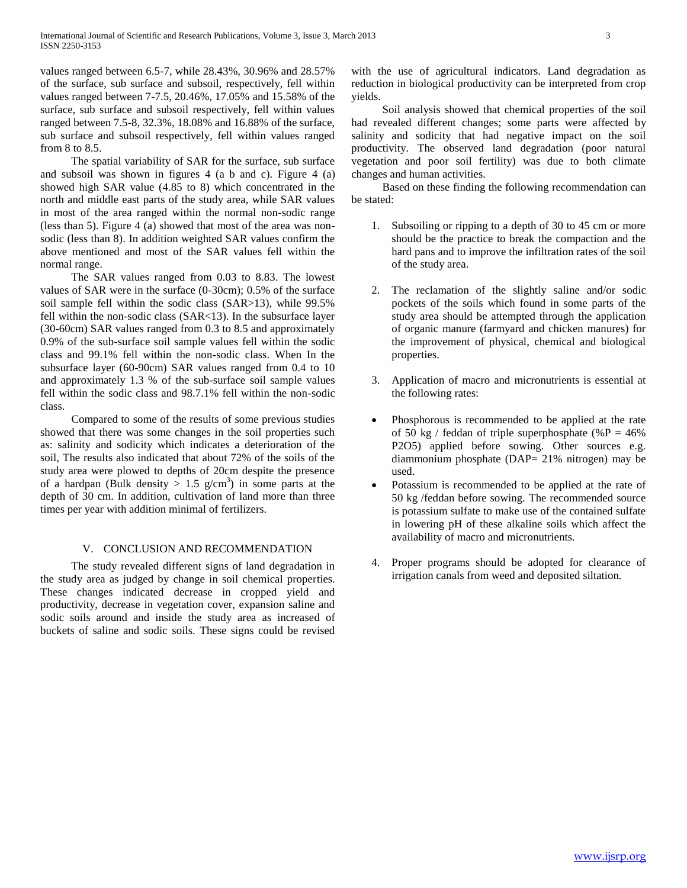values ranged between 6.5-7, while 28.43%, 30.96% and 28.57% of the surface, sub surface and subsoil, respectively, fell within values ranged between 7-7.5, 20.46%, 17.05% and 15.58% of the surface, sub surface and subsoil respectively, fell within values ranged between 7.5-8, 32.3%, 18.08% and 16.88% of the surface, sub surface and subsoil respectively, fell within values ranged from 8 to 8.5.

 The spatial variability of SAR for the surface, sub surface and subsoil was shown in figures 4 (a b and c). Figure 4 (a) showed high SAR value (4.85 to 8) which concentrated in the north and middle east parts of the study area, while SAR values in most of the area ranged within the normal non-sodic range (less than 5). Figure 4 (a) showed that most of the area was nonsodic (less than 8). In addition weighted SAR values confirm the above mentioned and most of the SAR values fell within the normal range.

 The SAR values ranged from 0.03 to 8.83. The lowest values of SAR were in the surface (0-30cm); 0.5% of the surface soil sample fell within the sodic class (SAR>13), while 99.5% fell within the non-sodic class (SAR<13). In the subsurface layer (30-60cm) SAR values ranged from 0.3 to 8.5 and approximately 0.9% of the sub-surface soil sample values fell within the sodic class and 99.1% fell within the non-sodic class. When In the subsurface layer (60-90cm) SAR values ranged from 0.4 to 10 and approximately 1.3 % of the sub-surface soil sample values fell within the sodic class and 98.7.1% fell within the non-sodic class.

 Compared to some of the results of some previous studies showed that there was some changes in the soil properties such as: salinity and sodicity which indicates a deterioration of the soil, The results also indicated that about 72% of the soils of the study area were plowed to depths of 20cm despite the presence of a hardpan (Bulk density  $> 1.5$  g/cm<sup>3</sup>) in some parts at the depth of 30 cm. In addition, cultivation of land more than three times per year with addition minimal of fertilizers.

# V. CONCLUSION AND RECOMMENDATION

 The study revealed different signs of land degradation in the study area as judged by change in soil chemical properties. These changes indicated decrease in cropped yield and productivity, decrease in vegetation cover, expansion saline and sodic soils around and inside the study area as increased of buckets of saline and sodic soils. These signs could be revised with the use of agricultural indicators. Land degradation as reduction in biological productivity can be interpreted from crop yields.

 Soil analysis showed that chemical properties of the soil had revealed different changes; some parts were affected by salinity and sodicity that had negative impact on the soil productivity. The observed land degradation (poor natural vegetation and poor soil fertility) was due to both climate changes and human activities.

 Based on these finding the following recommendation can be stated:

- 1. Subsoiling or ripping to a depth of 30 to 45 cm or more should be the practice to break the compaction and the hard pans and to improve the infiltration rates of the soil of the study area.
- 2. The reclamation of the slightly saline and/or sodic pockets of the soils which found in some parts of the study area should be attempted through the application of organic manure (farmyard and chicken manures) for the improvement of physical, chemical and biological properties.
- 3. Application of macro and micronutrients is essential at the following rates:
- Phosphorous is recommended to be applied at the rate of 50 kg / feddan of triple superphosphate (% $P = 46\%$ ) P2O5) applied before sowing. Other sources e.g. diammonium phosphate (DAP= 21% nitrogen) may be used.
- Potassium is recommended to be applied at the rate of 50 kg /feddan before sowing. The recommended source is potassium sulfate to make use of the contained sulfate in lowering pH of these alkaline soils which affect the availability of macro and micronutrients.
- 4. Proper programs should be adopted for clearance of irrigation canals from weed and deposited siltation.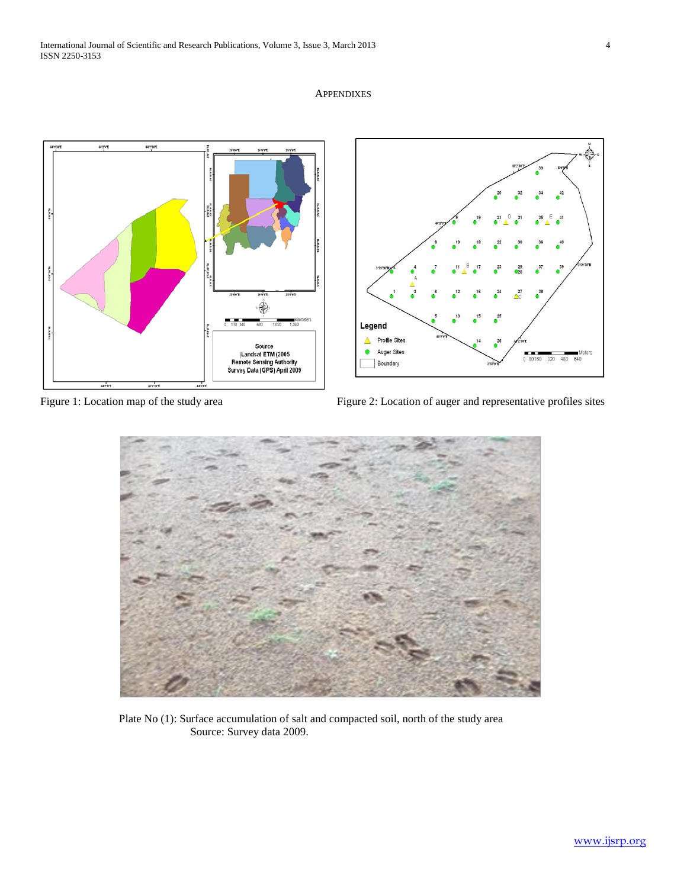## **APPENDIXES**





Figure 1: Location map of the study area **Figure 2: Location of auger and representative profiles sites** 



 Plate No (1): Surface accumulation of salt and compacted soil, north of the study area Source: Survey data 2009.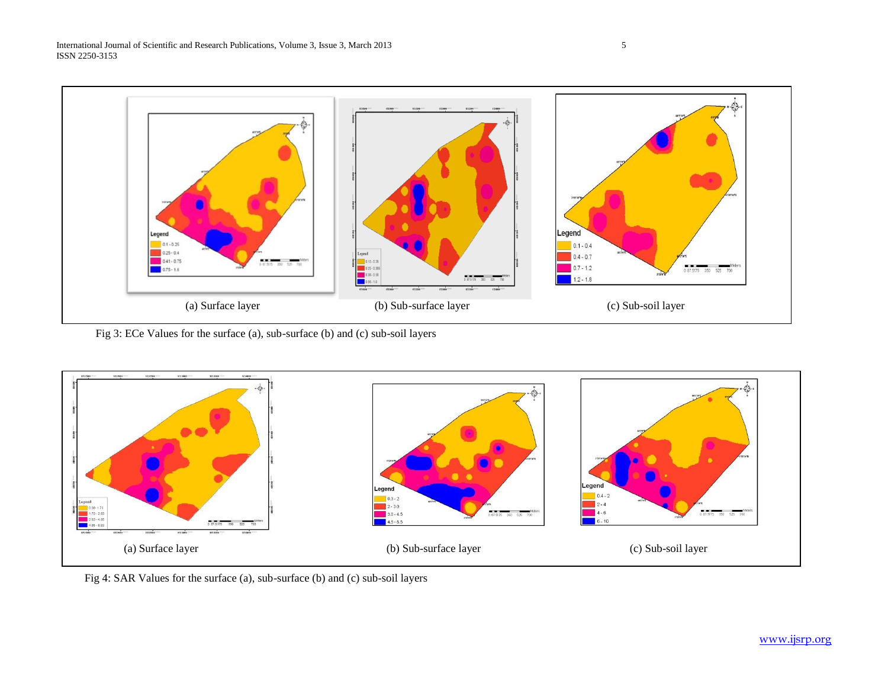

Fig 3: ECe Values for the surface (a), sub-surface (b) and (c) sub-soil layers



Fig 4: SAR Values for the surface (a), sub-surface (b) and (c) sub-soil layers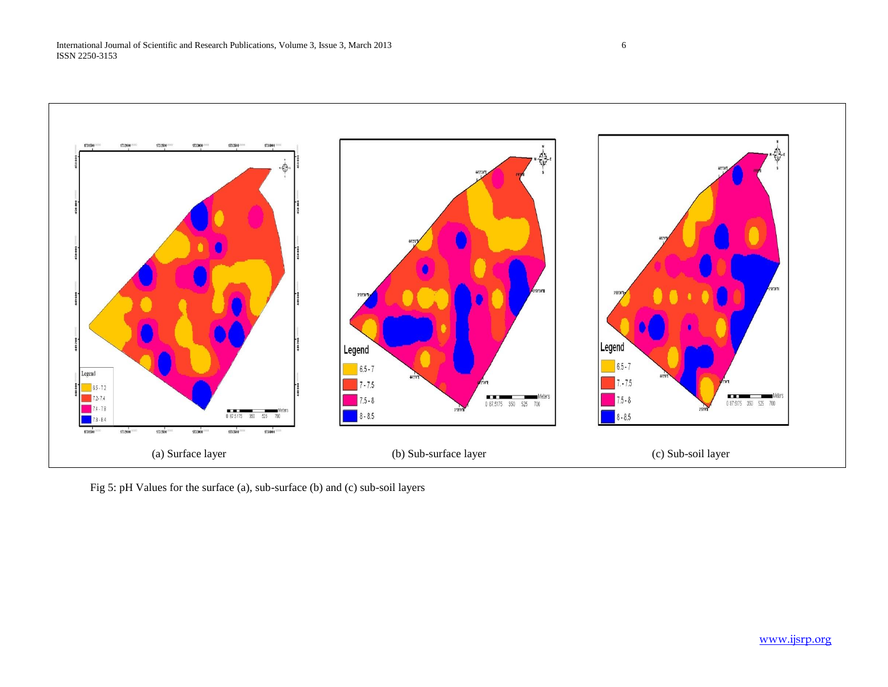

Fig 5: pH Values for the surface (a), sub-surface (b) and (c) sub-soil layers